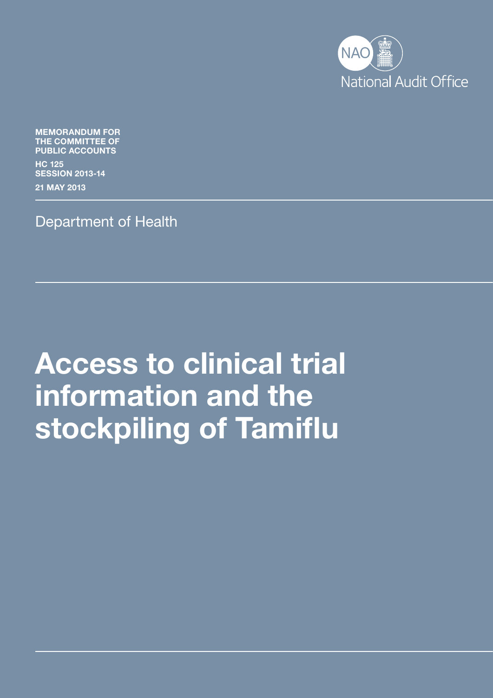

MEMORANDUM FOR THE COMMITTEE OF PUBLIC ACCOUNTS

HC 125 SESSION 2013-14

21 MAY 2013

Department of Health

# Access to clinical trial information and the stockpiling of Tamiflu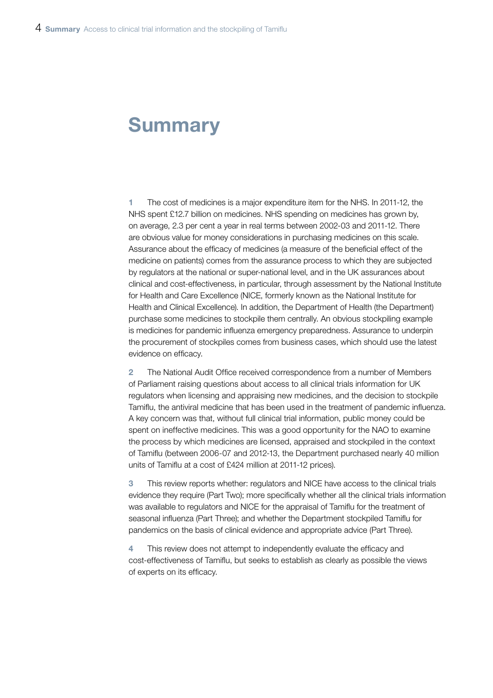# **Summary**

1 The cost of medicines is a major expenditure item for the NHS. In 2011-12, the NHS spent £12.7 billion on medicines. NHS spending on medicines has grown by, on average, 2.3 per cent a year in real terms between 2002-03 and 2011-12. There are obvious value for money considerations in purchasing medicines on this scale. Assurance about the efficacy of medicines (a measure of the beneficial effect of the medicine on patients) comes from the assurance process to which they are subjected by regulators at the national or super-national level, and in the UK assurances about clinical and cost-effectiveness, in particular, through assessment by the National Institute for Health and Care Excellence (NICE, formerly known as the National Institute for Health and Clinical Excellence). In addition, the Department of Health (the Department) purchase some medicines to stockpile them centrally. An obvious stockpiling example is medicines for pandemic influenza emergency preparedness. Assurance to underpin the procurement of stockpiles comes from business cases, which should use the latest evidence on efficacy.

2 The National Audit Office received correspondence from a number of Members of Parliament raising questions about access to all clinical trials information for UK regulators when licensing and appraising new medicines, and the decision to stockpile Tamiflu, the antiviral medicine that has been used in the treatment of pandemic influenza. A key concern was that, without full clinical trial information, public money could be spent on ineffective medicines. This was a good opportunity for the NAO to examine the process by which medicines are licensed, appraised and stockpiled in the context of Tamiflu (between 2006-07 and 2012-13, the Department purchased nearly 40 million units of Tamiflu at a cost of £424 million at 2011-12 prices).

3 This review reports whether: regulators and NICE have access to the clinical trials evidence they require (Part Two); more specifically whether all the clinical trials information was available to regulators and NICE for the appraisal of Tamiflu for the treatment of seasonal influenza (Part Three); and whether the Department stockpiled Tamiflu for pandemics on the basis of clinical evidence and appropriate advice (Part Three).

This review does not attempt to independently evaluate the efficacy and cost-effectiveness of Tamiflu, but seeks to establish as clearly as possible the views of experts on its efficacy.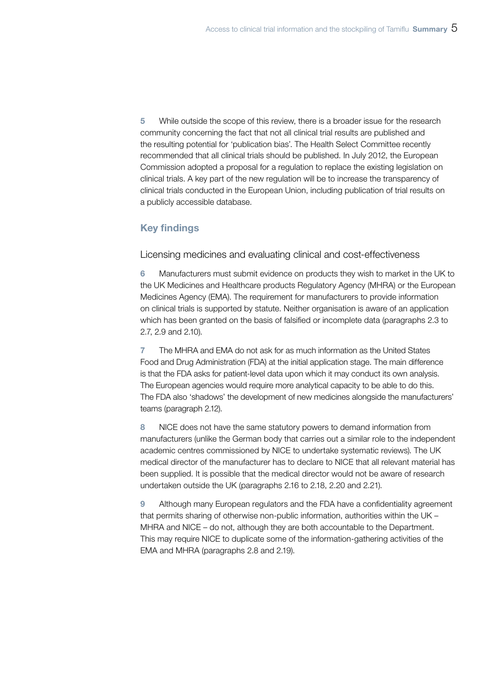5 While outside the scope of this review, there is a broader issue for the research community concerning the fact that not all clinical trial results are published and the resulting potential for 'publication bias'. The Health Select Committee recently recommended that all clinical trials should be published. In July 2012, the European Commission adopted a proposal for a regulation to replace the existing legislation on clinical trials. A key part of the new regulation will be to increase the transparency of clinical trials conducted in the European Union, including publication of trial results on a publicly accessible database.

## Key findings

Licensing medicines and evaluating clinical and cost-effectiveness

6 Manufacturers must submit evidence on products they wish to market in the UK to the UK Medicines and Healthcare products Regulatory Agency (MHRA) or the European Medicines Agency (EMA). The requirement for manufacturers to provide information on clinical trials is supported by statute. Neither organisation is aware of an application which has been granted on the basis of falsified or incomplete data (paragraphs 2.3 to 2.7, 2.9 and 2.10).

7 The MHRA and EMA do not ask for as much information as the United States Food and Drug Administration (FDA) at the initial application stage. The main difference is that the FDA asks for patient-level data upon which it may conduct its own analysis. The European agencies would require more analytical capacity to be able to do this. The FDA also 'shadows' the development of new medicines alongside the manufacturers' teams (paragraph 2.12).

8 NICE does not have the same statutory powers to demand information from manufacturers (unlike the German body that carries out a similar role to the independent academic centres commissioned by NICE to undertake systematic reviews). The UK medical director of the manufacturer has to declare to NICE that all relevant material has been supplied. It is possible that the medical director would not be aware of research undertaken outside the UK (paragraphs 2.16 to 2.18, 2.20 and 2.21).

9 Although many European regulators and the FDA have a confidentiality agreement that permits sharing of otherwise non-public information, authorities within the UK – MHRA and NICE – do not, although they are both accountable to the Department. This may require NICE to duplicate some of the information-gathering activities of the EMA and MHRA (paragraphs 2.8 and 2.19).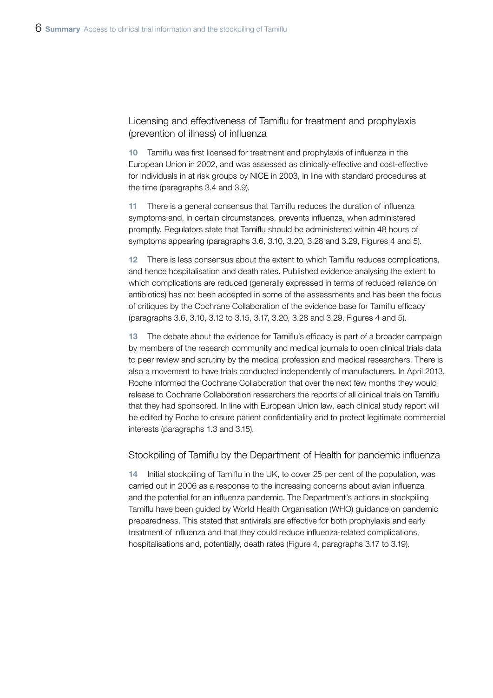Licensing and effectiveness of Tamiflu for treatment and prophylaxis (prevention of illness) of influenza

10 Tamiflu was first licensed for treatment and prophylaxis of influenza in the European Union in 2002, and was assessed as clinically-effective and cost-effective for individuals in at risk groups by NICE in 2003, in line with standard procedures at the time (paragraphs 3.4 and 3.9).

11 There is a general consensus that Tamiflu reduces the duration of influenza symptoms and, in certain circumstances, prevents influenza, when administered promptly. Regulators state that Tamiflu should be administered within 48 hours of symptoms appearing (paragraphs 3.6, 3.10, 3.20, 3.28 and 3.29, Figures 4 and 5).

12 There is less consensus about the extent to which Tamiflu reduces complications, and hence hospitalisation and death rates. Published evidence analysing the extent to which complications are reduced (generally expressed in terms of reduced reliance on antibiotics) has not been accepted in some of the assessments and has been the focus of critiques by the Cochrane Collaboration of the evidence base for Tamiflu efficacy (paragraphs 3.6, 3.10, 3.12 to 3.15, 3.17, 3.20, 3.28 and 3.29, Figures 4 and 5).

13 The debate about the evidence for Tamiflu's efficacy is part of a broader campaign by members of the research community and medical journals to open clinical trials data to peer review and scrutiny by the medical profession and medical researchers. There is also a movement to have trials conducted independently of manufacturers. In April 2013, Roche informed the Cochrane Collaboration that over the next few months they would release to Cochrane Collaboration researchers the reports of all clinical trials on Tamiflu that they had sponsored. In line with European Union law, each clinical study report will be edited by Roche to ensure patient confidentiality and to protect legitimate commercial interests (paragraphs 1.3 and 3.15).

#### Stockpiling of Tamiflu by the Department of Health for pandemic influenza

Initial stockpiling of Tamiflu in the UK, to cover 25 per cent of the population, was carried out in 2006 as a response to the increasing concerns about avian influenza and the potential for an influenza pandemic. The Department's actions in stockpiling Tamiflu have been guided by World Health Organisation (WHO) guidance on pandemic preparedness. This stated that antivirals are effective for both prophylaxis and early treatment of influenza and that they could reduce influenza-related complications, hospitalisations and, potentially, death rates (Figure 4, paragraphs 3.17 to 3.19).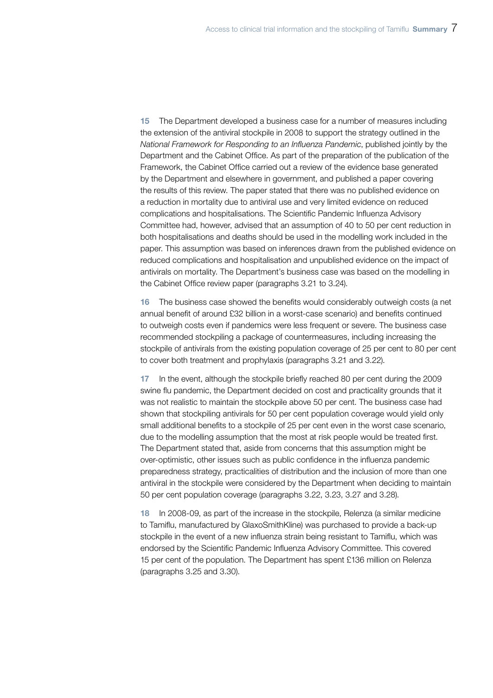15 The Department developed a business case for a number of measures including the extension of the antiviral stockpile in 2008 to support the strategy outlined in the *National Framework for Responding to an Influenza Pandemic*, published jointly by the Department and the Cabinet Office. As part of the preparation of the publication of the Framework, the Cabinet Office carried out a review of the evidence base generated by the Department and elsewhere in government, and published a paper covering the results of this review. The paper stated that there was no published evidence on a reduction in mortality due to antiviral use and very limited evidence on reduced complications and hospitalisations. The Scientific Pandemic Influenza Advisory Committee had, however, advised that an assumption of 40 to 50 per cent reduction in both hospitalisations and deaths should be used in the modelling work included in the paper. This assumption was based on inferences drawn from the published evidence on reduced complications and hospitalisation and unpublished evidence on the impact of antivirals on mortality. The Department's business case was based on the modelling in the Cabinet Office review paper (paragraphs 3.21 to 3.24).

16 The business case showed the benefits would considerably outweigh costs (a net annual benefit of around £32 billion in a worst-case scenario) and benefits continued to outweigh costs even if pandemics were less frequent or severe. The business case recommended stockpiling a package of countermeasures, including increasing the stockpile of antivirals from the existing population coverage of 25 per cent to 80 per cent to cover both treatment and prophylaxis (paragraphs 3.21 and 3.22).

17 In the event, although the stockpile briefly reached 80 per cent during the 2009 swine flu pandemic, the Department decided on cost and practicality grounds that it was not realistic to maintain the stockpile above 50 per cent. The business case had shown that stockpiling antivirals for 50 per cent population coverage would yield only small additional benefits to a stockpile of 25 per cent even in the worst case scenario, due to the modelling assumption that the most at risk people would be treated first. The Department stated that, aside from concerns that this assumption might be over-optimistic, other issues such as public confidence in the influenza pandemic preparedness strategy, practicalities of distribution and the inclusion of more than one antiviral in the stockpile were considered by the Department when deciding to maintain 50 per cent population coverage (paragraphs 3.22, 3.23, 3.27 and 3.28).

18 In 2008-09, as part of the increase in the stockpile, Relenza (a similar medicine to Tamiflu, manufactured by GlaxoSmithKline) was purchased to provide a back-up stockpile in the event of a new influenza strain being resistant to Tamiflu, which was endorsed by the Scientific Pandemic Influenza Advisory Committee. This covered 15 per cent of the population. The Department has spent £136 million on Relenza (paragraphs 3.25 and 3.30).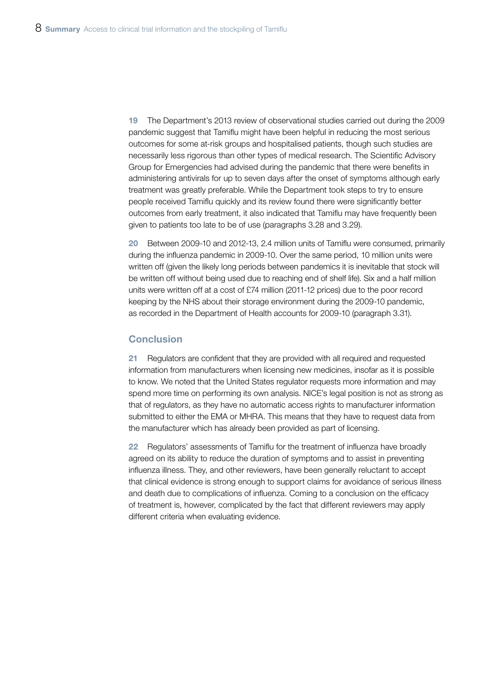19 The Department's 2013 review of observational studies carried out during the 2009 pandemic suggest that Tamiflu might have been helpful in reducing the most serious outcomes for some at-risk groups and hospitalised patients, though such studies are necessarily less rigorous than other types of medical research. The Scientific Advisory Group for Emergencies had advised during the pandemic that there were benefits in administering antivirals for up to seven days after the onset of symptoms although early treatment was greatly preferable. While the Department took steps to try to ensure people received Tamiflu quickly and its review found there were significantly better outcomes from early treatment, it also indicated that Tamiflu may have frequently been given to patients too late to be of use (paragraphs 3.28 and 3.29).

20 Between 2009-10 and 2012-13, 2.4 million units of Tamiflu were consumed, primarily during the influenza pandemic in 2009-10. Over the same period, 10 million units were written off (given the likely long periods between pandemics it is inevitable that stock will be written off without being used due to reaching end of shelf life). Six and a half million units were written off at a cost of £74 million (2011-12 prices) due to the poor record keeping by the NHS about their storage environment during the 2009-10 pandemic, as recorded in the Department of Health accounts for 2009-10 (paragraph 3.31).

#### **Conclusion**

21 Regulators are confident that they are provided with all required and requested information from manufacturers when licensing new medicines, insofar as it is possible to know. We noted that the United States regulator requests more information and may spend more time on performing its own analysis. NICE's legal position is not as strong as that of regulators, as they have no automatic access rights to manufacturer information submitted to either the EMA or MHRA. This means that they have to request data from the manufacturer which has already been provided as part of licensing.

22 Regulators' assessments of Tamiflu for the treatment of influenza have broadly agreed on its ability to reduce the duration of symptoms and to assist in preventing influenza illness. They, and other reviewers, have been generally reluctant to accept that clinical evidence is strong enough to support claims for avoidance of serious illness and death due to complications of influenza. Coming to a conclusion on the efficacy of treatment is, however, complicated by the fact that different reviewers may apply different criteria when evaluating evidence.